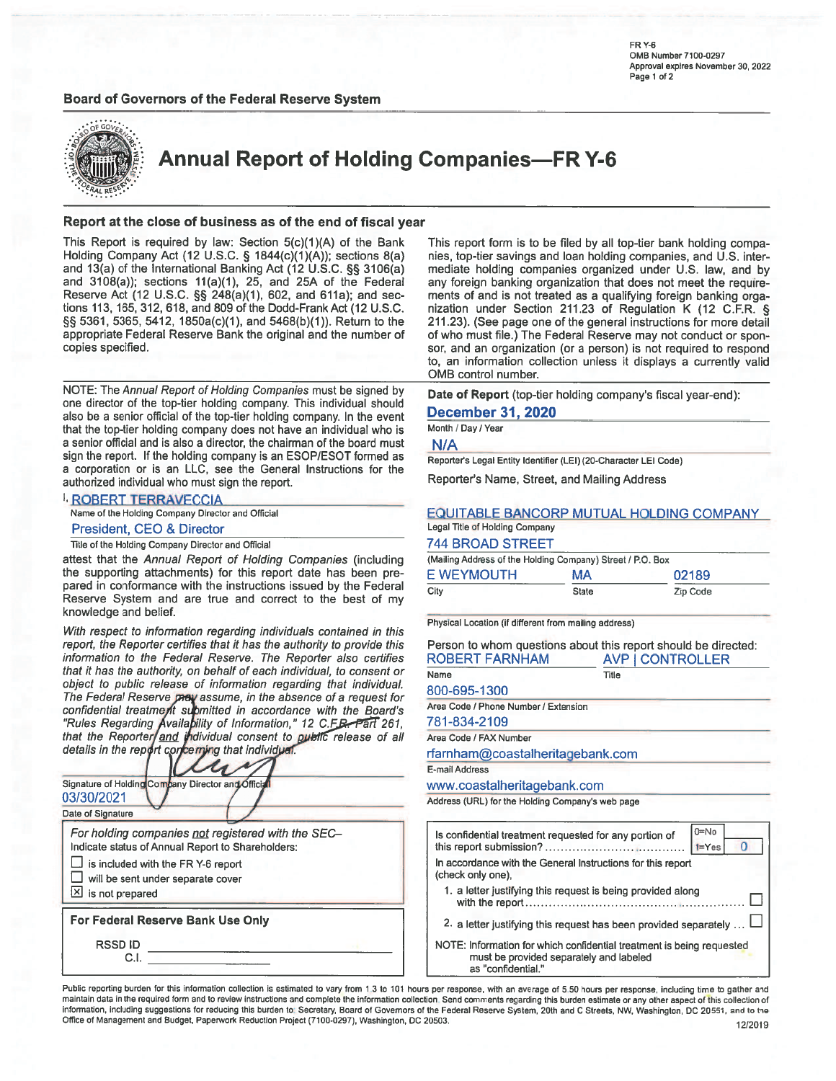### **Board of Governors of the Federal Reserve System**

FR Y-6 OMB Number 7100-0297 Approval expires November 30, 2022 Page 1 of 2



**Annual Report of Holding Companies-FR Y-6** 

#### Report at the close of business as of the end of fiscal year

This Report is required by law: Section 5(c)(1)(A) of the Bank Holding Company Act (12 U.S.C. § 1844(c)(1)(A)); sections 8(a) and 13(a) of the International Banking Act (12 U.S.C. §§ 3106(a) and 3108(a)); sections 11(a)(1), 25, and 25A of the Federal Reserve Act (12 U.S.C. §§ 248(a)(1), 602, and 611a); and sections 113, 165, 312, 618, and 809 of the Dodd-Frank Act (12 U.S.C. §§ 5361, 5365, 5412, 1850a(c)(1), and 5468(b)(1)). Return to the appropriate Federal Reserve Bank the original and the number of copies specified.

NOTE: The Annual Report of Holding Companies must be signed by one director of the top-tier holding company. This individual should also be a senior official of the top-tier holding company. In the event that the top-tier holding company does not have an individual who is a senior official and is also a director, the chairman of the board must sign the report. If the holding company is an ESOP/ESOT formed as a corporation or is an LLC, see the General Instructions for the authorized individual who must sign the report.

#### **I, ROBERT TERRAVECCIA**

Name of the Holding Company Director and Official

### President, CEO & Director

Title of the Holding Company Director and Official

attest that the Annual Report of Holding Companies (including the supporting attachments) for this report date has been prepared in conformance with the instructions issued by the Federal Reserve System and are true and correct to the best of my knowledge and belief.

With respect to information regarding individuals contained in this report, the Reporter certifies that it has the authority to provide this information to the Federal Reserve. The Reporter also certifies that it has the authority, on behalf of each individual, to consent or object to public release of information regarding that individual. The Federal Reserve pray assume, in the absence of a request for confidential treatment submitted in accordance with the Board's "Rules Regarding Availability of Information," 12 C.F.B. Part 261,<br>that the Reporter and individual consent to public release of all details in the report concerning that individual.

| Signature of Holding Company Director and Officia<br>03/30/2021                                                              |  |
|------------------------------------------------------------------------------------------------------------------------------|--|
| Date of Signature<br>For holding companies not registered with the SEC-<br>Indicate status of Annual Report to Shareholders: |  |
| is included with the FR Y-6 report<br>will be sent under separate cover<br>凶 is not prepared                                 |  |
| For Federal Reserve Bank Use Only                                                                                            |  |
| <b>RSSDID</b><br>C.I                                                                                                         |  |

This report form is to be filed by all top-tier bank holding companies, top-tier savings and loan holding companies, and U.S. intermediate holding companies organized under U.S. law, and by any foreign banking organization that does not meet the requirements of and is not treated as a qualifying foreign banking organization under Section 211.23 of Regulation K (12 C.F.R. § 211.23). (See page one of the general instructions for more detail of who must file.) The Federal Reserve may not conduct or sponsor, and an organization (or a person) is not required to respond to, an information collection unless it displays a currently valid OMB control number.

Date of Report (top-tier holding company's fiscal year-end):

#### **December 31, 2020**

Month / Day / Year

 $N/A$ 

Reporter's Legal Entity Identifier (LEI) (20-Character LEI Code)

Reporter's Name, Street, and Mailing Address

#### EQUITABLE BANCORP MUTUAL HOLDING COMPANY

### Legal Title of Holding Company **744 BROAD STREET**

| -------<br>(Mailing Address of the Holding Company) Street / P.O. Box |           |          |  |  |  |  |
|-----------------------------------------------------------------------|-----------|----------|--|--|--|--|
| E WEYMOUTH                                                            | <b>MA</b> | 02189    |  |  |  |  |
| City                                                                  | State     | Zip Code |  |  |  |  |

Physical Location (if different from mailing address)

Person to whom questions about this report should be directed: ROBERT FARNHAM AVP LCONTROLLER

| NYPENI LAINYLIAM                                                                 | <b>NVI</b><br><b>TUUNTINULLEN</b> |                |
|----------------------------------------------------------------------------------|-----------------------------------|----------------|
| Name                                                                             | Title                             |                |
| 800-695-1300                                                                     |                                   |                |
| Area Code / Phone Number / Extension                                             |                                   |                |
| 781-834-2109                                                                     |                                   |                |
| Area Code / FAX Number                                                           |                                   |                |
| rfarnham@coastalheritagebank.com                                                 |                                   |                |
| E-mail Address                                                                   |                                   |                |
| www.coastalheritagebank.com                                                      |                                   |                |
| Address (URL) for the Holding Company's web page                                 |                                   |                |
|                                                                                  |                                   |                |
| Is confidential treatment requested for any portion of                           |                                   | $0 = No$       |
|                                                                                  |                                   | $1 = Yes$<br>O |
| In accordance with the General Instructions for this report<br>(check only one), |                                   |                |
| 1. a letter justifying this request is being provided along                      |                                   |                |
|                                                                                  |                                   |                |

2. a letter justifying this request has been provided separately ... L

NOTE: Information for which confidential treatment is being requested must be provided separately and labeled as "confidential."

Public reporting burden for this information collection is estimated to vary from 1.3 to 101 hours per response, with an average of 5.50 hours per response, including time to gather and maintain data in the required form and to review instructions and complete the information collection. Send comments regarding this burden estimate or any other aspect of this collection of information, including suggestions for reducing this burden to Secretary, Board of Governors of the Federal Reserve System, 20th and C Streets, NW, Washington, DC 20551, and to the Office of Management and Budget, Paperwork Reduction Project (7100-0297), Washington, DC 20503.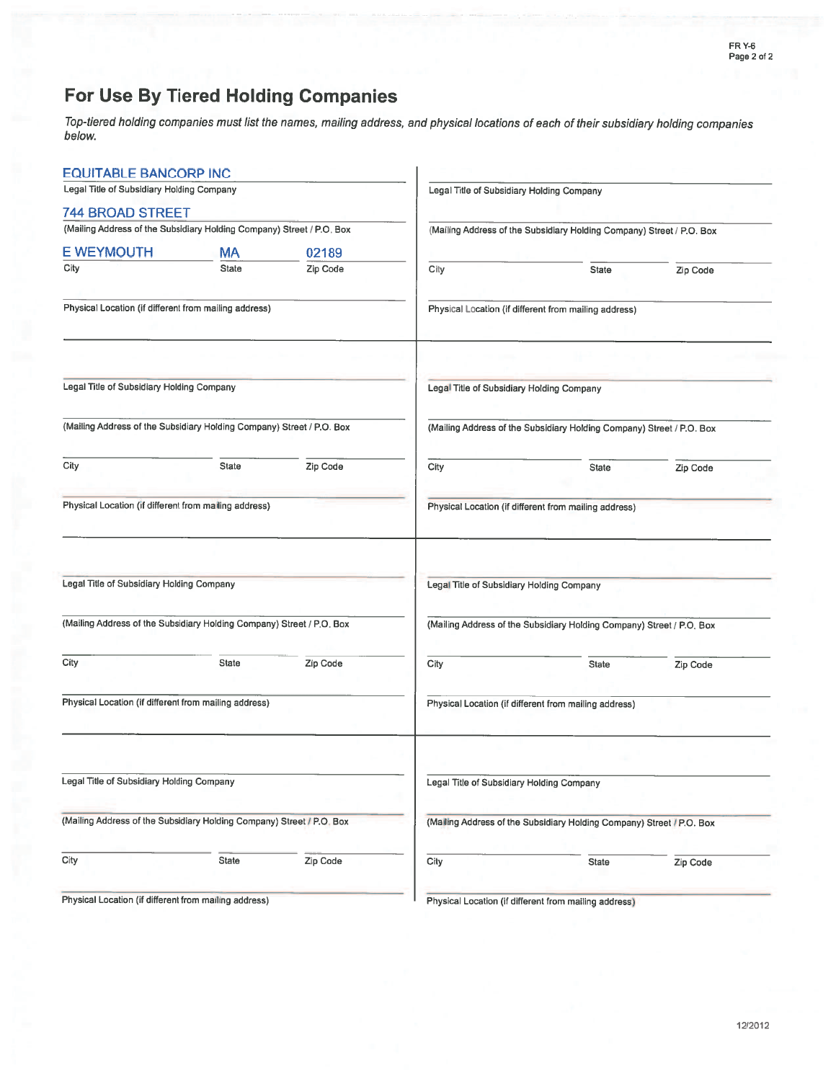# For Use By Tiered Holding Companies

Top-tiered holding companies must list the names, mailing address, and physical locations of each of their subsidiary holding companies below.

| <b>EQUITABLE BANCORP INC</b>                                          |           |          |                                                       |                                                                       |          |  |  |
|-----------------------------------------------------------------------|-----------|----------|-------------------------------------------------------|-----------------------------------------------------------------------|----------|--|--|
| Legal Title of Subsidiary Holding Company                             |           |          | Legal Title of Subsidiary Holding Company             |                                                                       |          |  |  |
| <b>744 BROAD STREET</b>                                               |           |          |                                                       |                                                                       |          |  |  |
| (Mailing Address of the Subsidiary Holding Company) Street / P.O. Box |           |          |                                                       | (Mailing Address of the Subsidiary Holding Company) Street / P.O. Box |          |  |  |
| <b>E WEYMOUTH</b>                                                     | <b>MA</b> | 02189    |                                                       |                                                                       |          |  |  |
| City                                                                  | State     | Zip Code | City                                                  | <b>State</b>                                                          | Zip Code |  |  |
| Physical Location (if different from mailing address)                 |           |          |                                                       | Physical Location (if different from mailing address)                 |          |  |  |
|                                                                       |           |          |                                                       |                                                                       |          |  |  |
| Legal Title of Subsidiary Holding Company                             |           |          | Legal Title of Subsidiary Holding Company             |                                                                       |          |  |  |
| (Mailing Address of the Subsidiary Holding Company) Street / P.O. Box |           |          |                                                       | (Mailing Address of the Subsidiary Holding Company) Street / P.O. Box |          |  |  |
| City                                                                  | State     | Zip Code | City                                                  | <b>State</b>                                                          | Zip Code |  |  |
| Physical Location (if different from mailing address)                 |           |          | Physical Location (if different from mailing address) |                                                                       |          |  |  |
|                                                                       |           |          |                                                       |                                                                       |          |  |  |
| Legal Title of Subsidiary Holding Company                             |           |          | Legal Title of Subsidiary Holding Company             |                                                                       |          |  |  |
| (Mailing Address of the Subsidiary Holding Company) Street / P.O. Box |           |          |                                                       | (Mailing Address of the Subsidiary Holding Company) Street / P.O. Box |          |  |  |
| City                                                                  | State     | Zip Code | City                                                  | State                                                                 | Zip Code |  |  |
| Physical Location (if different from mailing address)                 |           |          |                                                       | Physical Location (if different from mailing address)                 |          |  |  |
|                                                                       |           |          |                                                       |                                                                       |          |  |  |
| Legal Title of Subsidiary Holding Company                             |           |          | Legal Title of Subsidiary Holding Company             |                                                                       |          |  |  |
| (Mailing Address of the Subsidiary Holding Company) Street / P.O. Box |           |          |                                                       | (Malling Address of the Subsidiary Holding Company) Street / P.O. Box |          |  |  |
| City                                                                  | State     | Zip Code | City                                                  | State                                                                 | Zip Code |  |  |
| Physical Location (if different from mailing address)                 |           |          |                                                       | Physical Location (if different from mailing address)                 |          |  |  |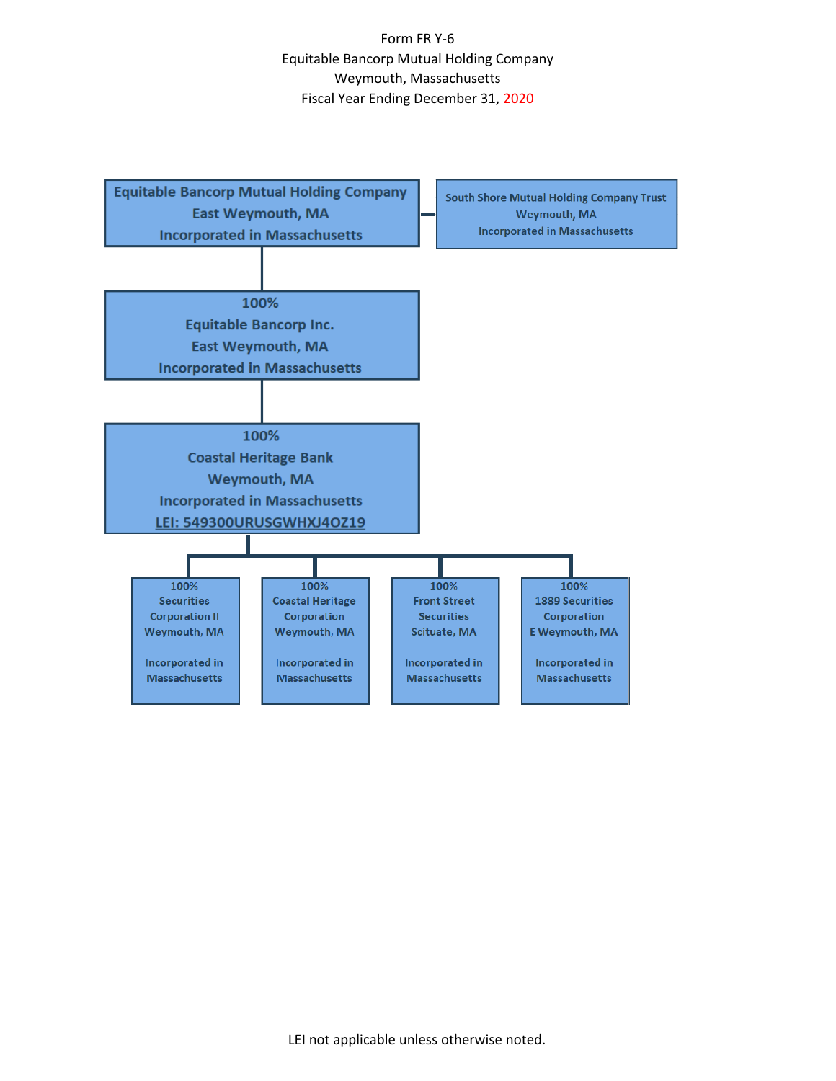Form FR Y-6 Equitable Bancorp Mutual Holding Company Weymouth, Massachusetts Fiscal Year Ending December 31, 2020

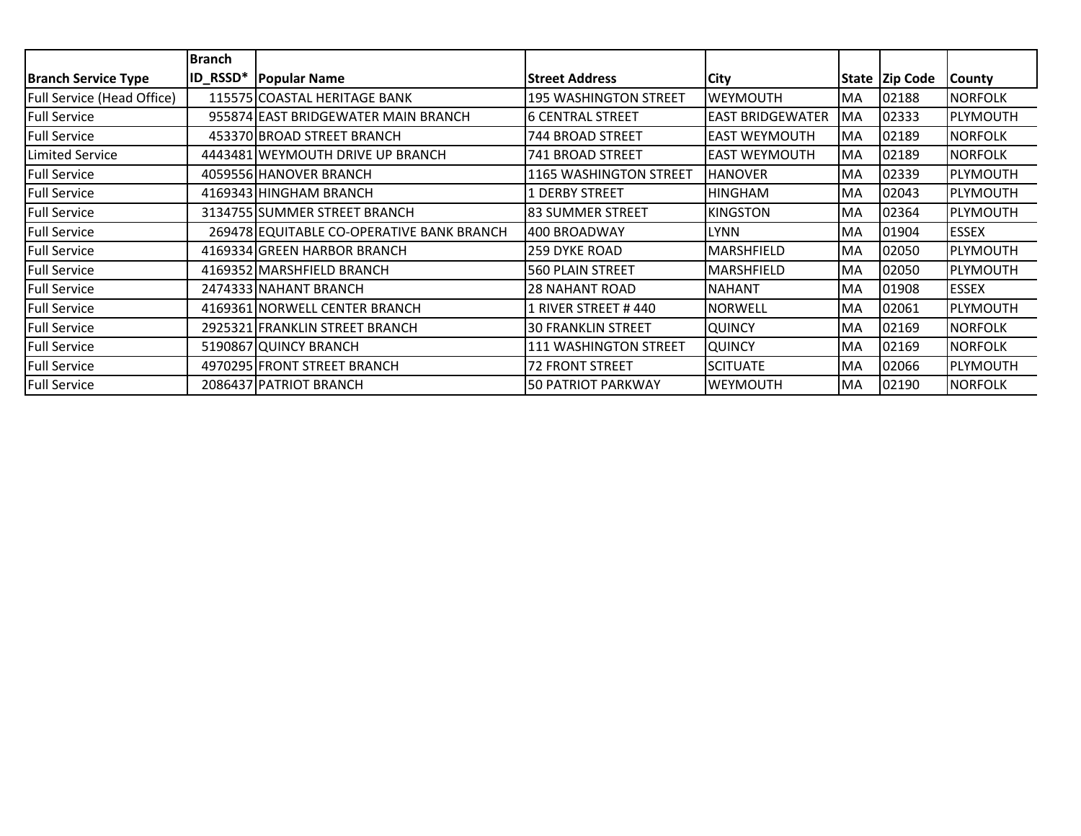|                            | <b>Branch</b>   |                                           |                               |                         |           |                |                 |
|----------------------------|-----------------|-------------------------------------------|-------------------------------|-------------------------|-----------|----------------|-----------------|
| <b>Branch Service Type</b> | <b>ID_RSSD*</b> | <b>Popular Name</b>                       | <b>Street Address</b>         | City                    |           | State Zip Code | <b>County</b>   |
| Full Service (Head Office) |                 | 115575 COASTAL HERITAGE BANK              | 195 WASHINGTON STREET         | <b>WEYMOUTH</b>         | <b>MA</b> | 02188          | <b>NORFOLK</b>  |
| <b>Full Service</b>        |                 | 955874 EAST BRIDGEWATER MAIN BRANCH       | 6 CENTRAL STREET              | <b>EAST BRIDGEWATER</b> | <b>MA</b> | 02333          | <b>PLYMOUTH</b> |
| <b>Full Service</b>        |                 | 453370 BROAD STREET BRANCH                | <b>744 BROAD STREET</b>       | <b>EAST WEYMOUTH</b>    | <b>MA</b> | 02189          | <b>NORFOLK</b>  |
| Limited Service            |                 | 4443481 WEYMOUTH DRIVE UP BRANCH          | 741 BROAD STREET              | <b>EAST WEYMOUTH</b>    | MA        | 02189          | <b>NORFOLK</b>  |
| <b>Full Service</b>        |                 | 4059556 HANOVER BRANCH                    | <b>1165 WASHINGTON STREET</b> | <b>HANOVER</b>          | <b>MA</b> | 02339          | PLYMOUTH        |
| <b>Full Service</b>        |                 | 4169343 HINGHAM BRANCH                    | <b>1 DERBY STREET</b>         | <b>HINGHAM</b>          | <b>MA</b> | 02043          | <b>PLYMOUTH</b> |
| <b>Full Service</b>        |                 | 3134755 SUMMER STREET BRANCH              | l83 SUMMER STREET             | <b>KINGSTON</b>         | <b>MA</b> | 02364          | <b>PLYMOUTH</b> |
| <b>Full Service</b>        |                 | 269478 EQUITABLE CO-OPERATIVE BANK BRANCH | 400 BROADWAY                  | <b>LYNN</b>             | <b>MA</b> | 01904          | <b>ESSEX</b>    |
| <b>Full Service</b>        |                 | 4169334 GREEN HARBOR BRANCH               | <b>259 DYKE ROAD</b>          | MARSHFIELD              | <b>MA</b> | 02050          | <b>PLYMOUTH</b> |
| <b>Full Service</b>        |                 | 4169352 MARSHFIELD BRANCH                 | 560 PLAIN STREET              | <b>MARSHFIELD</b>       | <b>MA</b> | 02050          | PLYMOUTH        |
| <b>Full Service</b>        |                 | 2474333 NAHANT BRANCH                     | <b>28 NAHANT ROAD</b>         | <b>NAHANT</b>           | <b>MA</b> | 01908          | <b>ESSEX</b>    |
| <b>Full Service</b>        |                 | 4169361 NORWELL CENTER BRANCH             | 1 RIVER STREET #440           | <b>NORWELL</b>          | <b>MA</b> | 02061          | <b>PLYMOUTH</b> |
| <b>Full Service</b>        |                 | 2925321 FRANKLIN STREET BRANCH            | <b>30 FRANKLIN STREET</b>     | <b>QUINCY</b>           | <b>MA</b> | 02169          | <b>NORFOLK</b>  |
| <b>Full Service</b>        |                 | 5190867 QUINCY BRANCH                     | <b>111 WASHINGTON STREET</b>  | <b>QUINCY</b>           | <b>MA</b> | 02169          | <b>NORFOLK</b>  |
| <b>Full Service</b>        |                 | 4970295 FRONT STREET BRANCH               | <b>72 FRONT STREET</b>        | <b>SCITUATE</b>         | <b>MA</b> | 02066          | PLYMOUTH        |
| <b>Full Service</b>        |                 | 2086437 PATRIOT BRANCH                    | 50 PATRIOT PARKWAY            | <b>WEYMOUTH</b>         | <b>MA</b> | 02190          | <b>NORFOLK</b>  |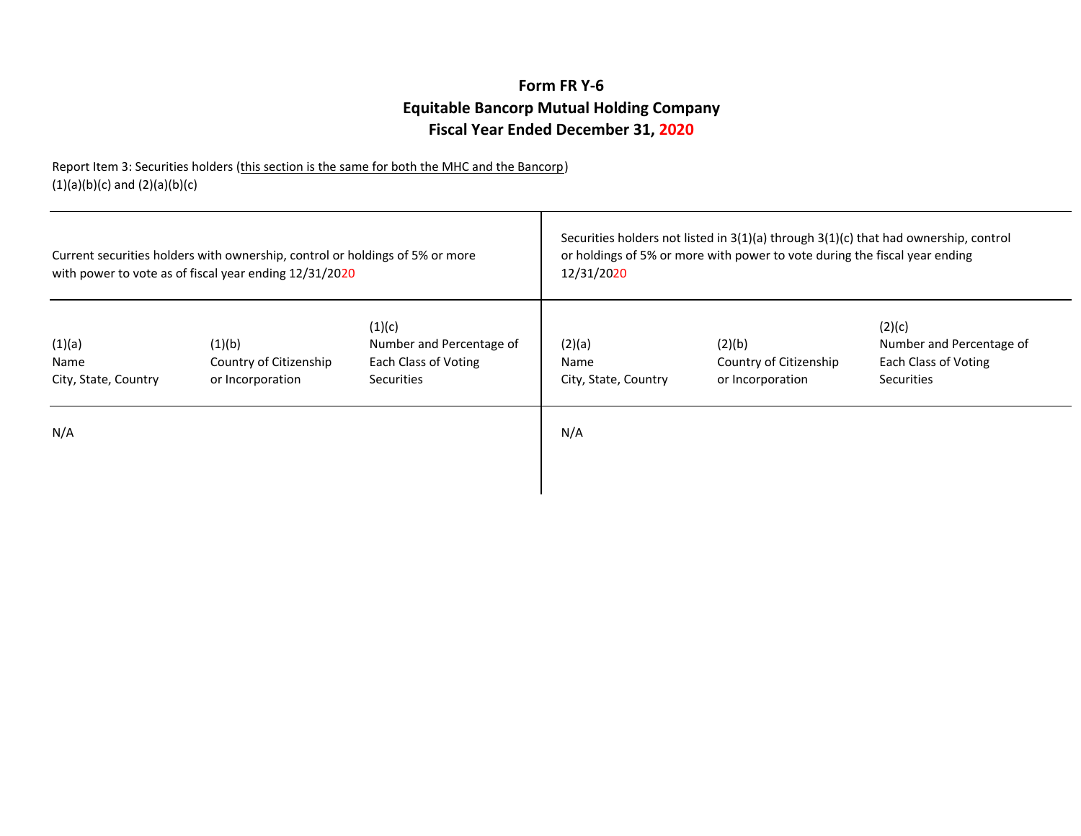## **Fiscal Year Ended December 31, 2020Equitable Bancorp Mutual Holding CompanyForm FR Y-6**

Report Item 3: Securities holders (this section is the same for both the MHC and the Bancorp) (1)(a)(b)(c) and (2)(a)(b)(c)

| Current securities holders with ownership, control or holdings of 5% or more<br>with power to vote as of fiscal year ending 12/31/2020 |                                                      | Securities holders not listed in 3(1)(a) through 3(1)(c) that had ownership, control<br>or holdings of 5% or more with power to vote during the fiscal year ending<br>12/31/2020 |                                        |                                                      |                                                                          |
|----------------------------------------------------------------------------------------------------------------------------------------|------------------------------------------------------|----------------------------------------------------------------------------------------------------------------------------------------------------------------------------------|----------------------------------------|------------------------------------------------------|--------------------------------------------------------------------------|
| (1)(a)<br>Name<br>City, State, Country                                                                                                 | (1)(b)<br>Country of Citizenship<br>or Incorporation | (1)(c)<br>Number and Percentage of<br>Each Class of Voting<br><b>Securities</b>                                                                                                  | (2)(a)<br>Name<br>City, State, Country | (2)(b)<br>Country of Citizenship<br>or Incorporation | (2)(c)<br>Number and Percentage of<br>Each Class of Voting<br>Securities |
| N/A                                                                                                                                    |                                                      |                                                                                                                                                                                  | N/A                                    |                                                      |                                                                          |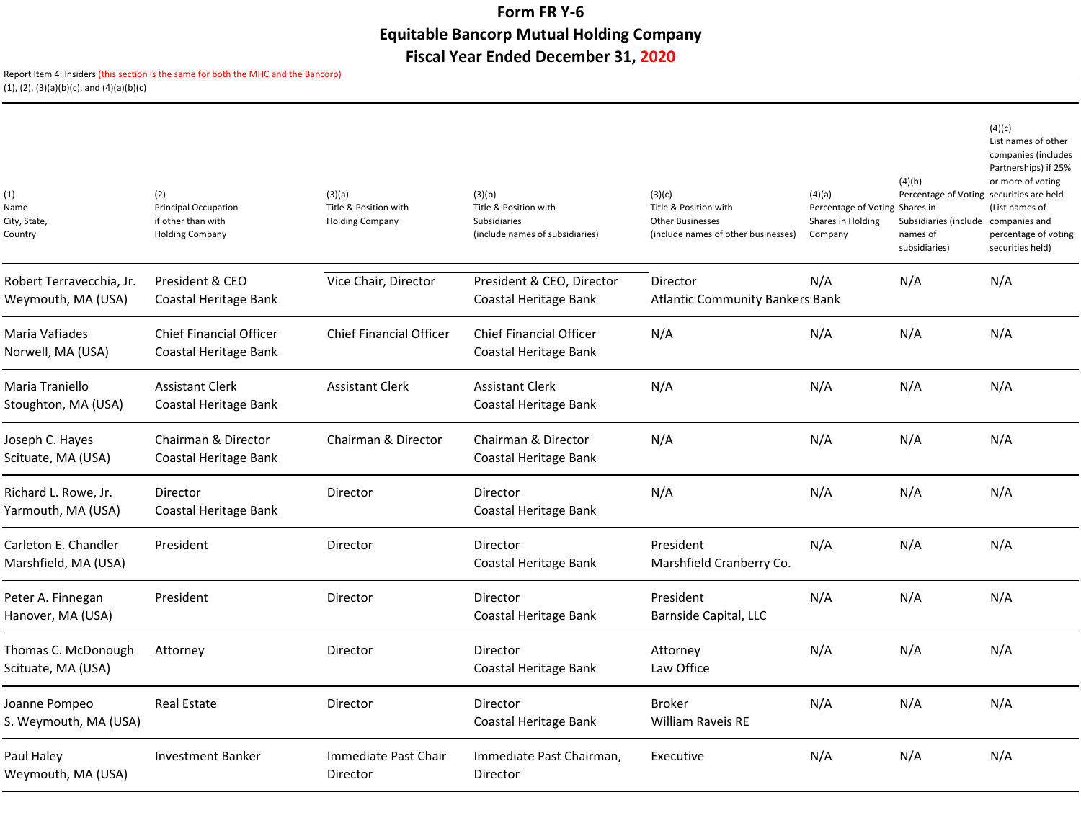## **Form FR Y-6 Equitable Bancorp Mutual Holding CompanyFiscal Year Ended December 31, 2020**

Report Item 4: Insiders (<mark>this section is the same for both the MHC and the Bancorp</mark>) (1), (2), (3)(a)(b)(c), and (4)(a)(b)(c)

| (1)<br>Name<br>City, State,<br>Country         | (2)<br><b>Principal Occupation</b><br>if other than with<br><b>Holding Company</b> | (3)(a)<br>Title & Position with<br><b>Holding Company</b> | (3)(b)<br>Title & Position with<br>Subsidiaries<br>(include names of subsidiaries) | (3)(c)<br>Title & Position with<br><b>Other Businesses</b><br>(include names of other businesses) | (4)(a)<br>Percentage of Voting Shares in<br>Shares in Holding<br>Company | (4)(b)<br>Percentage of Voting securities are held<br>Subsidiaries (include<br>names of<br>subsidiaries) | (4)(c)<br>List names of other<br>companies (includes<br>Partnerships) if 25%<br>or more of voting<br>(List names of<br>companies and<br>percentage of voting<br>securities held) |
|------------------------------------------------|------------------------------------------------------------------------------------|-----------------------------------------------------------|------------------------------------------------------------------------------------|---------------------------------------------------------------------------------------------------|--------------------------------------------------------------------------|----------------------------------------------------------------------------------------------------------|----------------------------------------------------------------------------------------------------------------------------------------------------------------------------------|
| Robert Terravecchia, Jr.<br>Weymouth, MA (USA) | President & CEO<br>Coastal Heritage Bank                                           | Vice Chair, Director                                      | President & CEO, Director<br>Coastal Heritage Bank                                 | Director<br><b>Atlantic Community Bankers Bank</b>                                                | N/A                                                                      | N/A                                                                                                      | N/A                                                                                                                                                                              |
| Maria Vafiades<br>Norwell, MA (USA)            | <b>Chief Financial Officer</b><br>Coastal Heritage Bank                            | <b>Chief Financial Officer</b>                            | <b>Chief Financial Officer</b><br>Coastal Heritage Bank                            | N/A                                                                                               | N/A                                                                      | N/A                                                                                                      | N/A                                                                                                                                                                              |
| Maria Traniello<br>Stoughton, MA (USA)         | <b>Assistant Clerk</b><br>Coastal Heritage Bank                                    | <b>Assistant Clerk</b>                                    | <b>Assistant Clerk</b><br>Coastal Heritage Bank                                    | N/A                                                                                               | N/A                                                                      | N/A                                                                                                      | N/A                                                                                                                                                                              |
| Joseph C. Hayes<br>Scituate, MA (USA)          | Chairman & Director<br>Coastal Heritage Bank                                       | Chairman & Director                                       | Chairman & Director<br>Coastal Heritage Bank                                       | N/A                                                                                               | N/A                                                                      | N/A                                                                                                      | N/A                                                                                                                                                                              |
| Richard L. Rowe, Jr.<br>Yarmouth, MA (USA)     | Director<br>Coastal Heritage Bank                                                  | Director                                                  | Director<br>Coastal Heritage Bank                                                  | N/A                                                                                               | N/A                                                                      | N/A                                                                                                      | N/A                                                                                                                                                                              |
| Carleton E. Chandler<br>Marshfield, MA (USA)   | President                                                                          | Director                                                  | Director<br>Coastal Heritage Bank                                                  | President<br>Marshfield Cranberry Co.                                                             | N/A                                                                      | N/A                                                                                                      | N/A                                                                                                                                                                              |
| Peter A. Finnegan<br>Hanover, MA (USA)         | President                                                                          | Director                                                  | Director<br>Coastal Heritage Bank                                                  | President<br>Barnside Capital, LLC                                                                | N/A                                                                      | N/A                                                                                                      | N/A                                                                                                                                                                              |
| Thomas C. McDonough<br>Scituate, MA (USA)      | Attorney                                                                           | Director                                                  | Director<br>Coastal Heritage Bank                                                  | Attorney<br>Law Office                                                                            | N/A                                                                      | N/A                                                                                                      | N/A                                                                                                                                                                              |
| Joanne Pompeo<br>S. Weymouth, MA (USA)         | <b>Real Estate</b>                                                                 | Director                                                  | Director<br>Coastal Heritage Bank                                                  | <b>Broker</b><br><b>William Raveis RE</b>                                                         | N/A                                                                      | N/A                                                                                                      | N/A                                                                                                                                                                              |
| Paul Halev<br>Weymouth, MA (USA)               | <b>Investment Banker</b>                                                           | Immediate Past Chair<br>Director                          | Immediate Past Chairman,<br>Director                                               | Executive                                                                                         | N/A                                                                      | N/A                                                                                                      | N/A                                                                                                                                                                              |